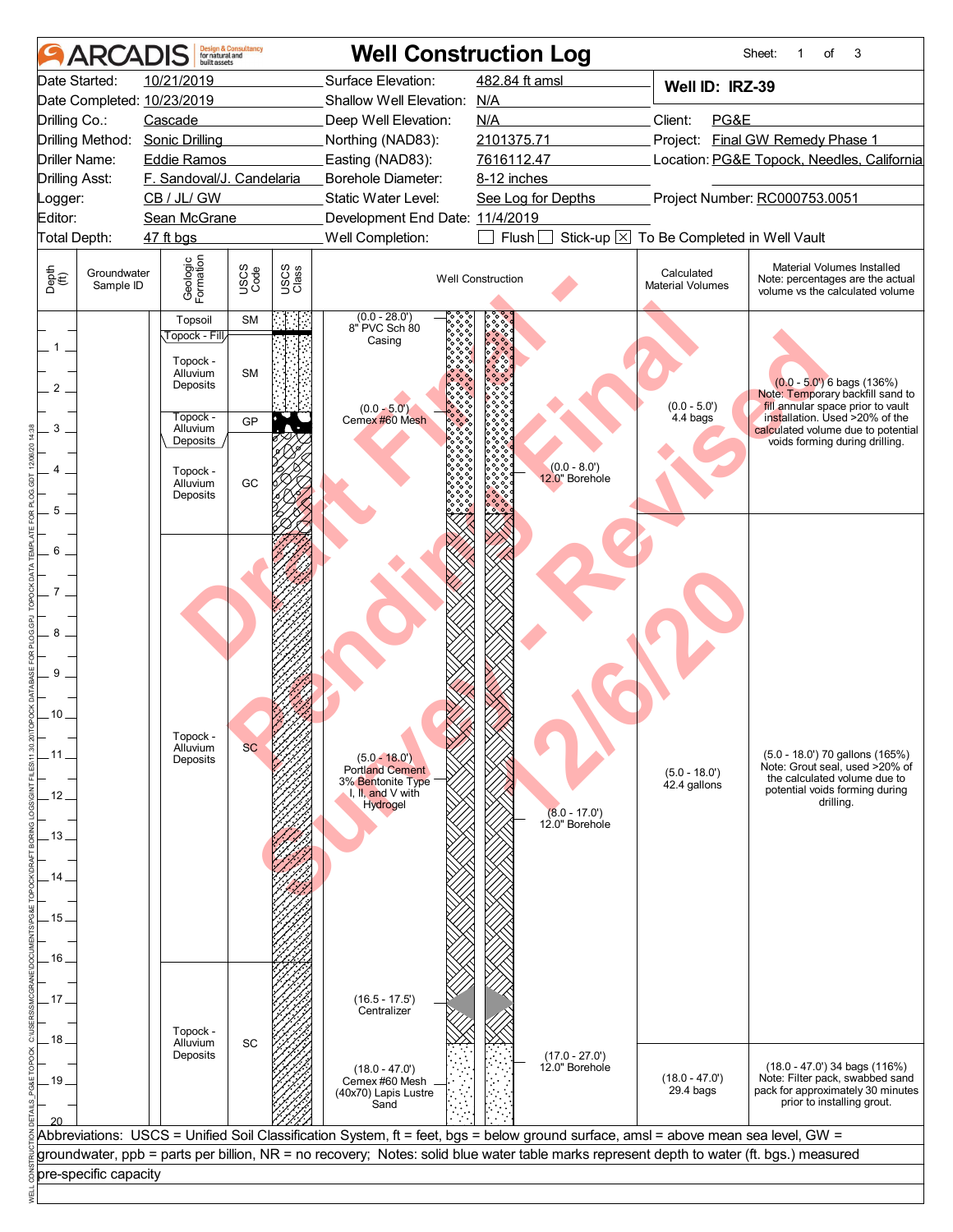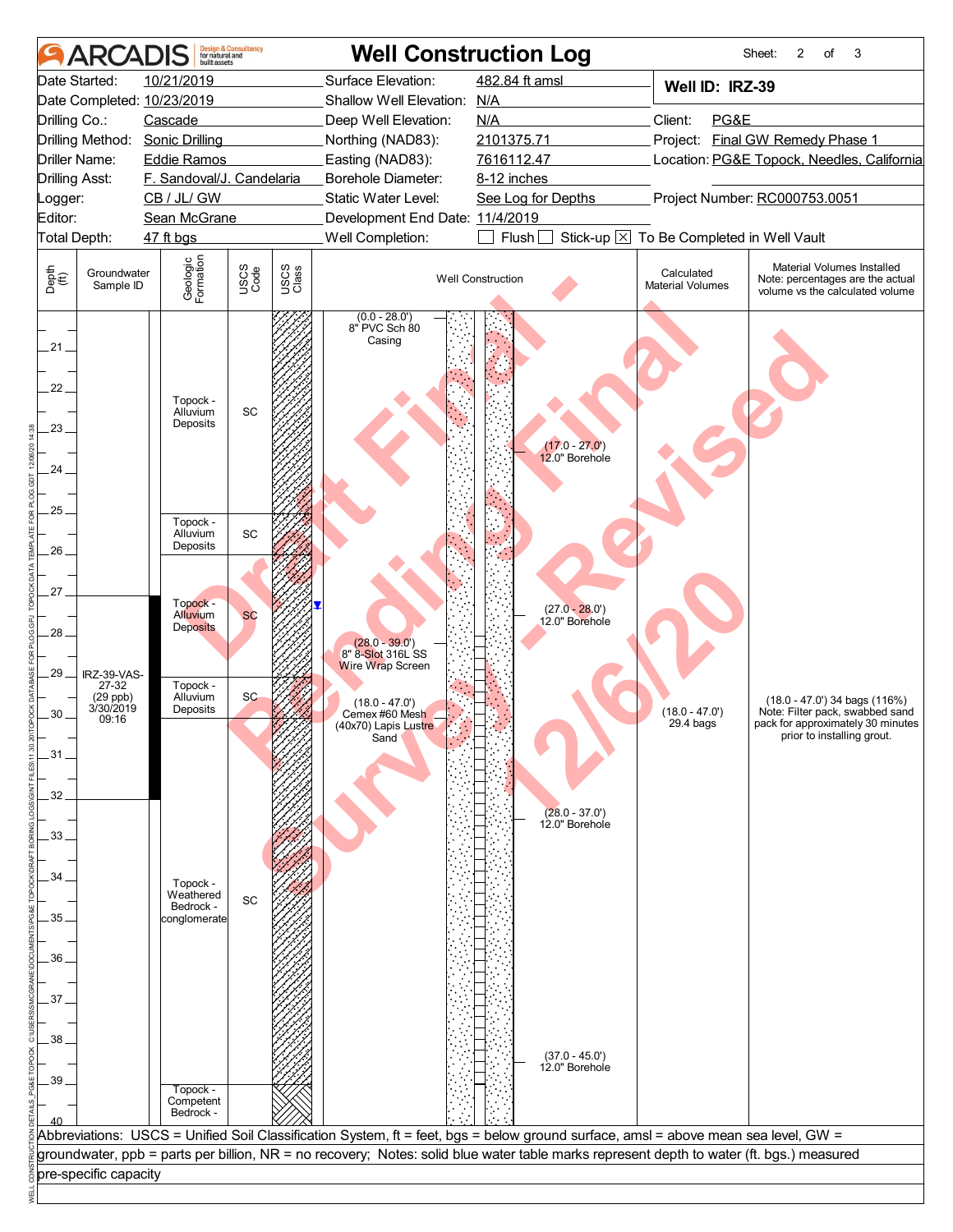|                                                                                                                                      | <b>ARCADIS</b>                                           | built assets                                                                                                                                                                                              | <b>Design &amp; Consultancy</b><br>for natural and                                           |                             | <b>Well Construction Log</b>                                                                                                                                                         |                          |                                                                                                                                                      |                                          | Sheet:<br>2<br>3<br>of                                                                                                                 |  |  |
|--------------------------------------------------------------------------------------------------------------------------------------|----------------------------------------------------------|-----------------------------------------------------------------------------------------------------------------------------------------------------------------------------------------------------------|----------------------------------------------------------------------------------------------|-----------------------------|--------------------------------------------------------------------------------------------------------------------------------------------------------------------------------------|--------------------------|------------------------------------------------------------------------------------------------------------------------------------------------------|------------------------------------------|----------------------------------------------------------------------------------------------------------------------------------------|--|--|
|                                                                                                                                      | Date Started:                                            | 10/21/2019                                                                                                                                                                                                |                                                                                              |                             | Surface Elevation:                                                                                                                                                                   | 482.84 ft amsl           |                                                                                                                                                      | Well ID: IRZ-39                          |                                                                                                                                        |  |  |
|                                                                                                                                      |                                                          | Date Completed: 10/23/2019                                                                                                                                                                                |                                                                                              | Shallow Well Elevation: N/A |                                                                                                                                                                                      |                          |                                                                                                                                                      |                                          |                                                                                                                                        |  |  |
| Drilling Co.:                                                                                                                        |                                                          | Cascade                                                                                                                                                                                                   |                                                                                              |                             | Deep Well Elevation:                                                                                                                                                                 | N/A                      |                                                                                                                                                      | PG&E<br>Client:                          |                                                                                                                                        |  |  |
|                                                                                                                                      | Drilling Method:                                         | <b>Sonic Drilling</b>                                                                                                                                                                                     |                                                                                              |                             | Northing (NAD83):                                                                                                                                                                    | 2101375.71               |                                                                                                                                                      |                                          | Project: Final GW Remedy Phase 1                                                                                                       |  |  |
|                                                                                                                                      | <b>Driller Name:</b>                                     | <b>Eddie Ramos</b>                                                                                                                                                                                        |                                                                                              |                             | Easting (NAD83):                                                                                                                                                                     | 7616112.47               |                                                                                                                                                      |                                          | Location: PG&E Topock, Needles, California                                                                                             |  |  |
|                                                                                                                                      | <b>Drilling Asst:</b>                                    | F. Sandoval/J. Candelaria                                                                                                                                                                                 |                                                                                              |                             | Borehole Diameter:                                                                                                                                                                   | 8-12 inches              |                                                                                                                                                      |                                          |                                                                                                                                        |  |  |
| Logger:                                                                                                                              |                                                          | CB / JL/ GW                                                                                                                                                                                               |                                                                                              |                             | Static Water Level:                                                                                                                                                                  | See Log for Depths       |                                                                                                                                                      |                                          | Project Number: RC000753.0051                                                                                                          |  |  |
| Editor:                                                                                                                              |                                                          | Sean McGrane                                                                                                                                                                                              |                                                                                              |                             | Development End Date: 11/4/2019                                                                                                                                                      |                          |                                                                                                                                                      |                                          |                                                                                                                                        |  |  |
|                                                                                                                                      | Total Depth:                                             | 47 ft bgs                                                                                                                                                                                                 |                                                                                              |                             | Well Completion:                                                                                                                                                                     | Flush <sup>[</sup>       |                                                                                                                                                      | Stick-up X To Be Completed in Well Vault |                                                                                                                                        |  |  |
| Depth<br>(ff)                                                                                                                        | Groundwater<br>Sample ID                                 | Geologic<br>Formation                                                                                                                                                                                     | USCS<br>Code                                                                                 | USCS<br>Class               |                                                                                                                                                                                      | <b>Well Construction</b> |                                                                                                                                                      | Calculated<br><b>Material Volumes</b>    | Material Volumes Installed<br>Note: percentages are the actual<br>volume vs the calculated volume                                      |  |  |
| $.21 -$<br>22.<br>23.<br>24.<br>.25.<br>.26.<br>27.<br>28.<br>29.<br>30<br>31<br>32.<br>$-33-$<br>.34<br>.35.<br>.36.<br>37.<br>.38. | IRZ-39-VAS-<br>27-32<br>$(29$ ppb)<br>3/30/2019<br>09:16 | Topock -<br>Alluvium<br>Deposits<br>Topock -<br>Alluvium<br>Deposits<br>Topock -<br>Alluvium<br><b>Deposits</b><br>Topock -<br>Alluvium<br>Deposits<br>Topock -<br>Weathered<br>Bedrock -<br>conglomerate | $\operatorname{\textsf{SC}}$<br>$\operatorname{\textsf{SC}}$<br><b>SC</b><br><b>SC</b><br>SC |                             | $(0.0 - 28.0')$<br>8" PVC Sch 80<br>Casing<br>$(28.0 - 39.0')$<br>8" 8-Slot 316L SS<br><b>Wire Wrap Screen</b><br>$(18.0 - 47.0')$<br>Cemex #60 Mesh<br>(40x70) Lapis Lustre<br>Sand |                          | $(17.0 - 27.0')$<br>12.0" Borehole<br>$(27.0 - 28.0')$<br>12.0" Borehole<br>$(28.0 - 37.0')$<br>12.0" Borehole<br>$(37.0 - 45.0')$<br>12.0" Borehole | $(18.0 - 47.0')$<br>$29.4b$ aas          | $(18.0 - 47.0)$ 34 bags $(116%)$<br>Note: Filter pack, swabbed sand<br>pack for approximately 30 minutes<br>prior to installing grout. |  |  |
| .39.                                                                                                                                 |                                                          | Topock -                                                                                                                                                                                                  |                                                                                              |                             |                                                                                                                                                                                      |                          |                                                                                                                                                      |                                          |                                                                                                                                        |  |  |
|                                                                                                                                      |                                                          | Competent<br>Bedrock -                                                                                                                                                                                    |                                                                                              |                             |                                                                                                                                                                                      |                          |                                                                                                                                                      |                                          |                                                                                                                                        |  |  |
|                                                                                                                                      |                                                          |                                                                                                                                                                                                           |                                                                                              |                             |                                                                                                                                                                                      |                          |                                                                                                                                                      |                                          |                                                                                                                                        |  |  |
|                                                                                                                                      |                                                          |                                                                                                                                                                                                           |                                                                                              |                             | Abbreviations: USCS = Unified Soil Classification System, ft = feet, bgs = below ground surface, amsl = above mean sea level, GW =                                                   |                          |                                                                                                                                                      |                                          |                                                                                                                                        |  |  |
|                                                                                                                                      |                                                          |                                                                                                                                                                                                           |                                                                                              |                             | groundwater, ppb = parts per billion, NR = no recovery; Notes: solid blue water table marks represent depth to water (ft. bgs.) measured                                             |                          |                                                                                                                                                      |                                          |                                                                                                                                        |  |  |
|                                                                                                                                      | pre-specific capacity                                    |                                                                                                                                                                                                           |                                                                                              |                             |                                                                                                                                                                                      |                          |                                                                                                                                                      |                                          |                                                                                                                                        |  |  |
|                                                                                                                                      |                                                          |                                                                                                                                                                                                           |                                                                                              |                             |                                                                                                                                                                                      |                          |                                                                                                                                                      |                                          |                                                                                                                                        |  |  |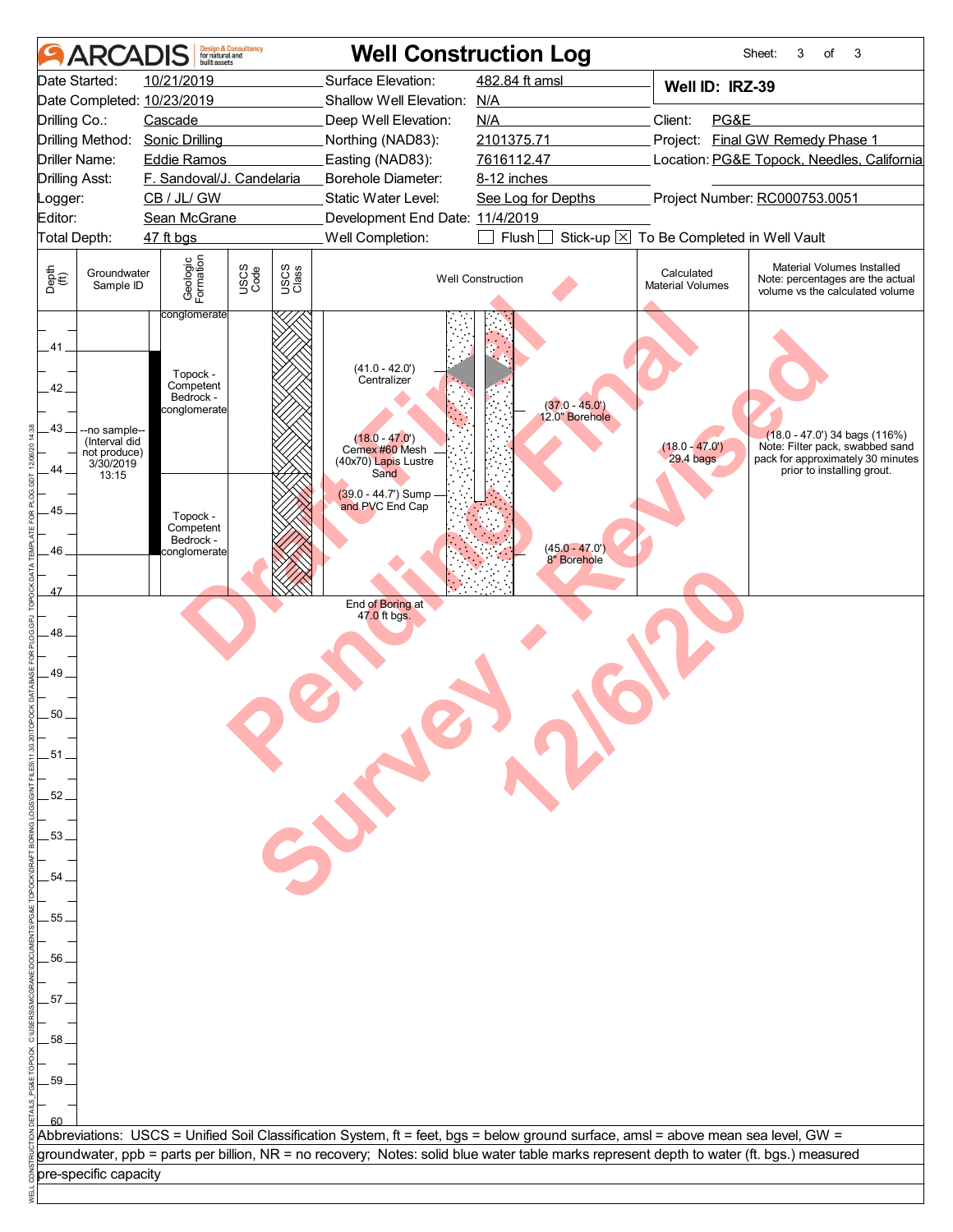|                       | <b>ARCA</b>               | huilt assets               | <b>Design &amp; Consultancy</b><br>for natural and |               | <b>Well Construction Log</b>                                                                                                             |                                |                                            | Sheet:<br>3 | οf                         | 3                                                                                                 |
|-----------------------|---------------------------|----------------------------|----------------------------------------------------|---------------|------------------------------------------------------------------------------------------------------------------------------------------|--------------------------------|--------------------------------------------|-------------|----------------------------|---------------------------------------------------------------------------------------------------|
|                       | Date Started:             | 10/21/2019                 |                                                    |               | Surface Elevation:                                                                                                                       | 482.84 ft amsl                 | Well ID: IRZ-39                            |             |                            |                                                                                                   |
|                       |                           | Date Completed: 10/23/2019 |                                                    |               | Shallow Well Elevation: N/A                                                                                                              |                                |                                            |             |                            |                                                                                                   |
| Drilling Co.:         |                           | Cascade                    |                                                    |               | Deep Well Elevation:                                                                                                                     | N/A                            | PG&E<br>Client:                            |             |                            |                                                                                                   |
|                       | Drilling Method:          | <b>Sonic Drilling</b>      |                                                    |               | Northing (NAD83):                                                                                                                        | 2101375.71                     | Project: Final GW Remedy Phase 1           |             |                            |                                                                                                   |
|                       | Driller Name:             | Eddie Ramos                |                                                    |               | Easting (NAD83):                                                                                                                         | 7616112.47                     | Location: PG&E Topock, Needles, California |             |                            |                                                                                                   |
| <b>Drilling Asst:</b> |                           | F. Sandoval/J. Candelaria  |                                                    |               | Borehole Diameter:                                                                                                                       | 8-12 inches                    |                                            |             |                            |                                                                                                   |
| _ogger:               |                           | CB / JL/ GW                |                                                    |               | Static Water Level:                                                                                                                      | See Log for Depths             | Project Number: RC000753.0051              |             |                            |                                                                                                   |
| Editor:               |                           | Sean McGrane               |                                                    |               | Development End Date: 11/4/2019                                                                                                          |                                |                                            |             |                            |                                                                                                   |
|                       | Total Depth:              | 47 ft bgs                  |                                                    |               | Well Completion:                                                                                                                         | Flush <sup>[</sup>             | Stick-up X To Be Completed in Well Vault   |             |                            |                                                                                                   |
|                       |                           |                            |                                                    |               |                                                                                                                                          |                                |                                            |             |                            |                                                                                                   |
| Depth<br>(ft)         | Groundwater<br>Sample ID  | Geologic<br>Formation      | USCS<br>Code                                       | USCS<br>Class |                                                                                                                                          | <b>Well Construction</b>       | Calculated<br><b>Material Volumes</b>      |             |                            | Material Volumes Installed<br>Note: percentages are the actual<br>volume vs the calculated volume |
|                       |                           | conglomerate               |                                                    |               |                                                                                                                                          |                                |                                            |             |                            |                                                                                                   |
| $.41-$                |                           |                            |                                                    |               |                                                                                                                                          |                                |                                            |             |                            |                                                                                                   |
|                       |                           | Topock -                   |                                                    |               | $(41.0 - 42.0)$                                                                                                                          |                                |                                            |             |                            |                                                                                                   |
| 42.                   |                           | Competent                  |                                                    |               | Centralizer                                                                                                                              |                                |                                            |             |                            |                                                                                                   |
|                       |                           | Bedrock -<br>conglomerate  |                                                    |               |                                                                                                                                          | $(37.0 - 45.0')$               |                                            |             |                            |                                                                                                   |
| 43_                   | --no sample--             |                            |                                                    |               |                                                                                                                                          | 12.0" Borehole                 |                                            |             |                            |                                                                                                   |
|                       | (Interval did             |                            |                                                    |               | $(18.0 - 47.0)$<br>Cemex #60 Mesh                                                                                                        |                                | $(18.0 - 47.0')$                           |             |                            | $(18.0 - 47.0)$ 34 bags $(116%)$<br>Note: Filter pack, swabbed sand                               |
|                       | not produce)<br>3/30/2019 |                            |                                                    |               | (40x70) Lapis Lustre                                                                                                                     |                                | $29.4$ bags                                |             |                            | pack for approximately 30 minutes                                                                 |
| 44.                   | 13:15                     |                            |                                                    |               | Sand                                                                                                                                     |                                |                                            |             | prior to installing grout. |                                                                                                   |
|                       |                           |                            |                                                    |               | (39.0 - 44.7') Sump<br>and PVC End Cap                                                                                                   |                                |                                            |             |                            |                                                                                                   |
| $45 -$                |                           | Topock -                   |                                                    |               |                                                                                                                                          |                                |                                            |             |                            |                                                                                                   |
|                       |                           | Competent<br>Bedrock -     |                                                    |               |                                                                                                                                          |                                |                                            |             |                            |                                                                                                   |
| 46.                   |                           | conglomerate               |                                                    |               |                                                                                                                                          | $(45.0 - 47.0)$<br>8" Borehole |                                            |             |                            |                                                                                                   |
|                       |                           |                            |                                                    |               |                                                                                                                                          |                                |                                            |             |                            |                                                                                                   |
| 47                    |                           |                            |                                                    |               |                                                                                                                                          |                                |                                            |             |                            |                                                                                                   |
|                       |                           |                            |                                                    |               | End of Boring at<br>47.0 ft bgs.                                                                                                         |                                |                                            |             |                            |                                                                                                   |
| 48.                   |                           |                            |                                                    |               |                                                                                                                                          |                                |                                            |             |                            |                                                                                                   |
|                       |                           |                            |                                                    |               |                                                                                                                                          |                                |                                            |             |                            |                                                                                                   |
|                       |                           |                            |                                                    |               |                                                                                                                                          |                                |                                            |             |                            |                                                                                                   |
| 49.                   |                           |                            |                                                    |               |                                                                                                                                          |                                |                                            |             |                            |                                                                                                   |
|                       |                           |                            |                                                    |               |                                                                                                                                          |                                |                                            |             |                            |                                                                                                   |
| 50 <sub>1</sub>       |                           |                            |                                                    |               |                                                                                                                                          |                                |                                            |             |                            |                                                                                                   |
|                       |                           |                            |                                                    |               |                                                                                                                                          |                                |                                            |             |                            |                                                                                                   |
| .51 <sub>1</sub>      |                           |                            |                                                    |               |                                                                                                                                          |                                |                                            |             |                            |                                                                                                   |
|                       |                           |                            |                                                    |               |                                                                                                                                          |                                |                                            |             |                            |                                                                                                   |
| 52.                   |                           |                            |                                                    |               | 55                                                                                                                                       |                                |                                            |             |                            |                                                                                                   |
|                       |                           |                            |                                                    |               |                                                                                                                                          |                                |                                            |             |                            |                                                                                                   |
| .53.                  |                           |                            |                                                    |               |                                                                                                                                          |                                |                                            |             |                            |                                                                                                   |
|                       |                           |                            |                                                    |               |                                                                                                                                          |                                |                                            |             |                            |                                                                                                   |
|                       |                           |                            |                                                    |               |                                                                                                                                          |                                |                                            |             |                            |                                                                                                   |
| .54                   |                           |                            |                                                    |               |                                                                                                                                          |                                |                                            |             |                            |                                                                                                   |
|                       |                           |                            |                                                    |               |                                                                                                                                          |                                |                                            |             |                            |                                                                                                   |
| .55                   |                           |                            |                                                    |               |                                                                                                                                          |                                |                                            |             |                            |                                                                                                   |
|                       |                           |                            |                                                    |               |                                                                                                                                          |                                |                                            |             |                            |                                                                                                   |
| .56                   |                           |                            |                                                    |               |                                                                                                                                          |                                |                                            |             |                            |                                                                                                   |
|                       |                           |                            |                                                    |               |                                                                                                                                          |                                |                                            |             |                            |                                                                                                   |
| .57.                  |                           |                            |                                                    |               |                                                                                                                                          |                                |                                            |             |                            |                                                                                                   |
|                       |                           |                            |                                                    |               |                                                                                                                                          |                                |                                            |             |                            |                                                                                                   |
|                       |                           |                            |                                                    |               |                                                                                                                                          |                                |                                            |             |                            |                                                                                                   |
| .58                   |                           |                            |                                                    |               |                                                                                                                                          |                                |                                            |             |                            |                                                                                                   |
|                       |                           |                            |                                                    |               |                                                                                                                                          |                                |                                            |             |                            |                                                                                                   |
| .59                   |                           |                            |                                                    |               |                                                                                                                                          |                                |                                            |             |                            |                                                                                                   |
|                       |                           |                            |                                                    |               |                                                                                                                                          |                                |                                            |             |                            |                                                                                                   |
|                       |                           |                            |                                                    |               |                                                                                                                                          |                                |                                            |             |                            |                                                                                                   |
|                       |                           |                            |                                                    |               | Abbreviations: USCS = Unified Soil Classification System, ft = feet, bgs = below ground surface, amsl = above mean sea level, GW =       |                                |                                            |             |                            |                                                                                                   |
|                       |                           |                            |                                                    |               | groundwater, ppb = parts per billion, NR = no recovery; Notes: solid blue water table marks represent depth to water (ft. bgs.) measured |                                |                                            |             |                            |                                                                                                   |
|                       | pre-specific capacity     |                            |                                                    |               |                                                                                                                                          |                                |                                            |             |                            |                                                                                                   |
|                       |                           |                            |                                                    |               |                                                                                                                                          |                                |                                            |             |                            |                                                                                                   |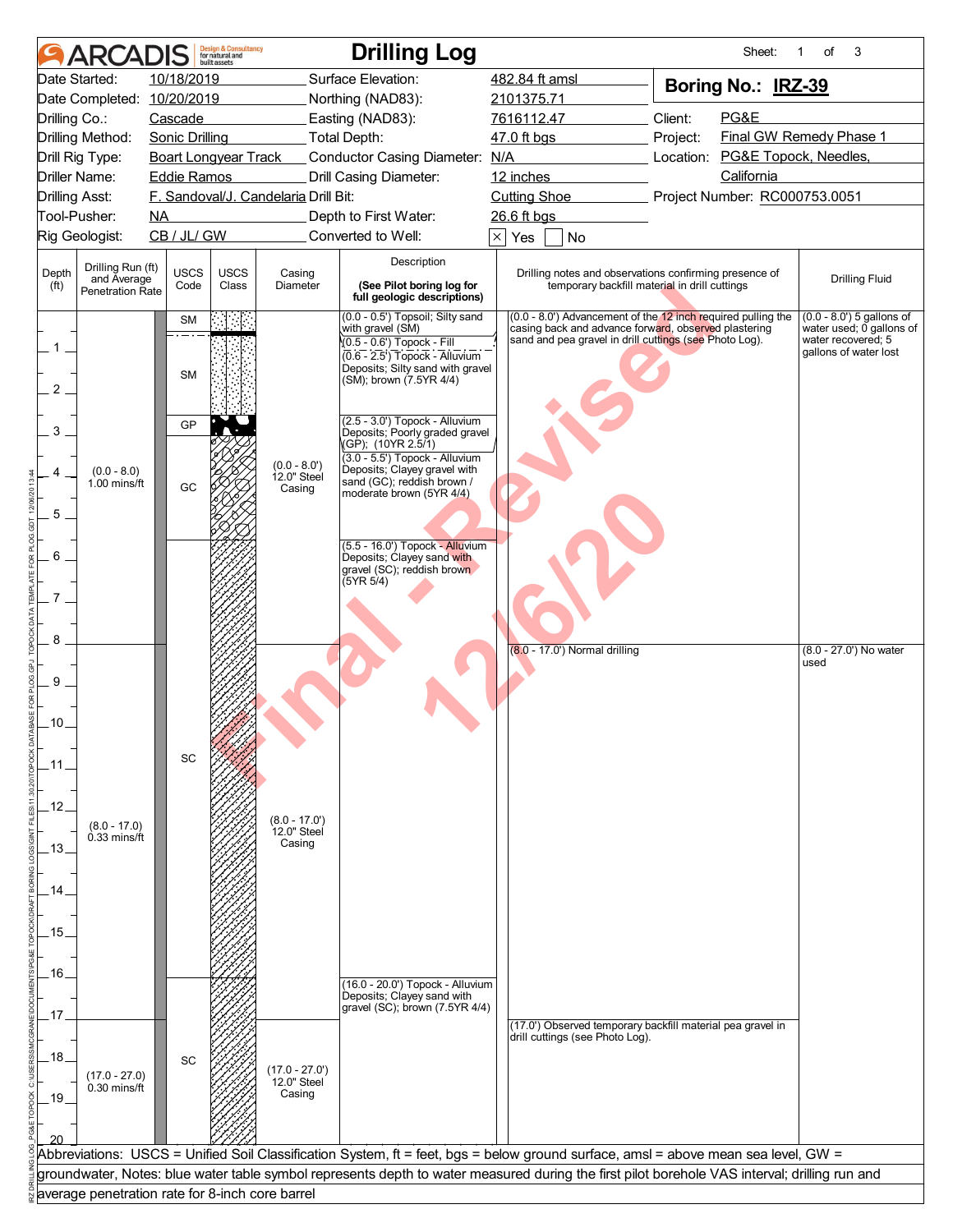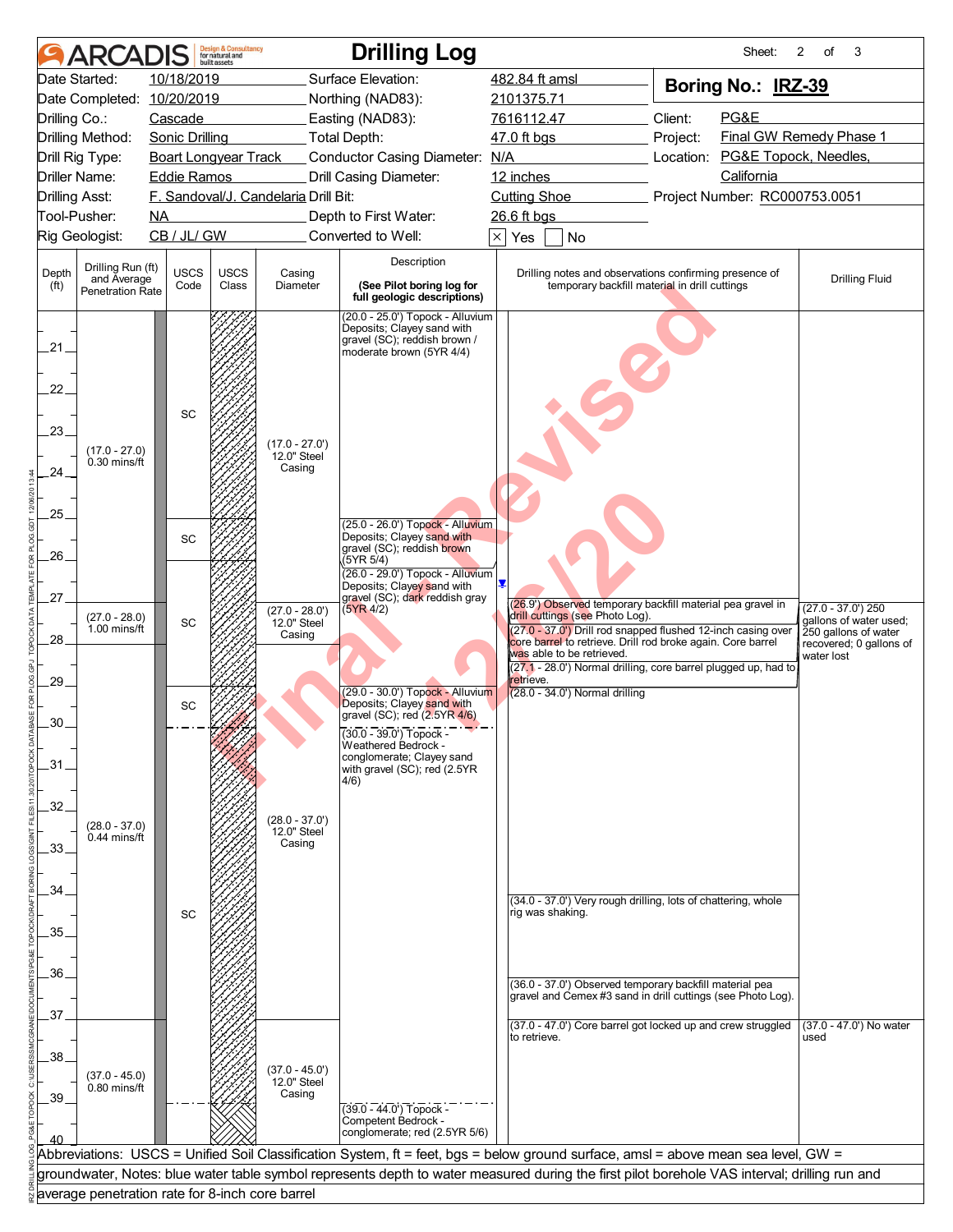|                                     | <b>ARCADIS</b>                                              |                                                   | <b>Design &amp; Consultancy</b><br>for natural and<br>built assets |                                      | <b>Drilling Log</b>                                                                                                                                                 |                                                        |                                                                                                                        |          | Sheet:     | $\overline{2}$<br>of<br>3                                  |  |
|-------------------------------------|-------------------------------------------------------------|---------------------------------------------------|--------------------------------------------------------------------|--------------------------------------|---------------------------------------------------------------------------------------------------------------------------------------------------------------------|--------------------------------------------------------|------------------------------------------------------------------------------------------------------------------------|----------|------------|------------------------------------------------------------|--|
|                                     | Date Started:                                               | 10/18/2019                                        |                                                                    |                                      | Surface Elevation:                                                                                                                                                  | 482.84 ft amsl                                         | Boring No.: IRZ-39                                                                                                     |          |            |                                                            |  |
|                                     | Date Completed: 10/20/2019                                  |                                                   |                                                                    |                                      | Northing (NAD83):                                                                                                                                                   | 2101375.71                                             |                                                                                                                        |          |            |                                                            |  |
| Drilling Co.:                       |                                                             | Cascade                                           |                                                                    |                                      | Easting (NAD83):                                                                                                                                                    | PG&E<br>Client:<br>7616112.47                          |                                                                                                                        |          |            |                                                            |  |
| Drilling Method:<br>Drill Rig Type: |                                                             | Sonic Drilling                                    |                                                                    |                                      | _Total Depth:                                                                                                                                                       |                                                        | 47.0 ft bgs                                                                                                            | Project: |            | Final GW Remedy Phase 1<br>Location: PG&E Topock, Needles, |  |
| <b>Driller Name:</b>                |                                                             | <b>Boart Longyear Track</b><br><b>Eddie Ramos</b> |                                                                    |                                      | Conductor Casing Diameter: N/A<br>Drill Casing Diameter:                                                                                                            | 12 inches                                              |                                                                                                                        |          | California |                                                            |  |
| <b>Drilling Asst:</b>               |                                                             |                                                   |                                                                    | F. Sandoval/J. Candelaria Drill Bit: |                                                                                                                                                                     |                                                        | Cutting Shoe                                                                                                           |          |            | Project Number: RC000753.0051                              |  |
|                                     | Tool-Pusher:                                                | NA.                                               |                                                                    |                                      | Depth to First Water:                                                                                                                                               | 26.6 ft bgs                                            |                                                                                                                        |          |            |                                                            |  |
|                                     | Rig Geologist:                                              | CB / JL/ GW                                       |                                                                    |                                      | Converted to Well:                                                                                                                                                  | $\times$<br>Yes                                        | No                                                                                                                     |          |            |                                                            |  |
|                                     |                                                             |                                                   |                                                                    |                                      | Description                                                                                                                                                         |                                                        |                                                                                                                        |          |            |                                                            |  |
| Depth<br>(ft)                       | Drilling Run (ft)<br>and Average<br><b>Penetration Rate</b> | <b>USCS</b><br>Code                               | <b>USCS</b><br>Class                                               | Casing<br>Diameter                   | (See Pilot boring log for<br>full geologic descriptions)                                                                                                            | Drilling notes and observations confirming presence of | <b>Drilling Fluid</b>                                                                                                  |          |            |                                                            |  |
|                                     |                                                             |                                                   |                                                                    |                                      | (20.0 - 25.0') Topock - Alluvium<br>Deposits; Clayey sand with                                                                                                      |                                                        |                                                                                                                        |          |            |                                                            |  |
| .21.                                |                                                             |                                                   |                                                                    |                                      | gravel (SC); reddish brown /<br>moderate brown (5YR 4/4)                                                                                                            |                                                        |                                                                                                                        |          |            |                                                            |  |
|                                     |                                                             |                                                   |                                                                    |                                      |                                                                                                                                                                     |                                                        |                                                                                                                        |          |            |                                                            |  |
| 22.                                 |                                                             |                                                   |                                                                    |                                      |                                                                                                                                                                     |                                                        |                                                                                                                        |          |            |                                                            |  |
|                                     |                                                             | SC                                                |                                                                    |                                      |                                                                                                                                                                     |                                                        |                                                                                                                        |          |            |                                                            |  |
| 23                                  |                                                             |                                                   |                                                                    |                                      |                                                                                                                                                                     |                                                        |                                                                                                                        |          |            |                                                            |  |
|                                     | $(17.0 - 27.0)$<br>$0.30$ mins/ft                           |                                                   |                                                                    | $(17.0 - 27.0')$<br>12.0" Steel      |                                                                                                                                                                     |                                                        |                                                                                                                        |          |            |                                                            |  |
| .24.                                |                                                             |                                                   |                                                                    | Casing                               |                                                                                                                                                                     |                                                        |                                                                                                                        |          |            |                                                            |  |
|                                     |                                                             |                                                   |                                                                    |                                      |                                                                                                                                                                     |                                                        |                                                                                                                        |          |            |                                                            |  |
| 25.                                 |                                                             |                                                   |                                                                    |                                      | (25.0 - 26.0') Topock - Alluvium                                                                                                                                    |                                                        |                                                                                                                        |          |            |                                                            |  |
|                                     |                                                             | <b>SC</b>                                         |                                                                    |                                      | Deposits; Clayey sand with<br>gravel (SC); reddish brown                                                                                                            |                                                        |                                                                                                                        |          |            |                                                            |  |
| 26.                                 |                                                             |                                                   |                                                                    |                                      | (5YR 5/4)                                                                                                                                                           |                                                        |                                                                                                                        |          |            |                                                            |  |
|                                     |                                                             |                                                   |                                                                    |                                      | (26.0 - 29.0') Topock - Alluvium<br>Deposits; Clayey sand with                                                                                                      |                                                        |                                                                                                                        |          |            |                                                            |  |
| 27.                                 |                                                             |                                                   |                                                                    | $(27.0 - 28.0')$                     | gravel (SC); dark reddish gray<br>(5YR 4/2)                                                                                                                         |                                                        | (26.9') Observed temporary backfill material pea gravel in                                                             |          |            | $(27.0 - 37.0)$ 250                                        |  |
|                                     | $(27.0 - 28.0)$<br>1.00 mins/ft                             | <b>SC</b>                                         |                                                                    | 12.0" Steel<br>Casing                |                                                                                                                                                                     |                                                        | drill cuttings (see Photo Log).<br>(27.0 - 37.0") Drill rod snapped flushed 12-inch casing over                        |          |            | gallons of water used;<br>250 gallons of water             |  |
| 28.                                 |                                                             |                                                   |                                                                    |                                      |                                                                                                                                                                     |                                                        | core barrel to retrieve. Drill rod broke again. Core barrel<br>was able to be retrieved.                               |          |            | recovered; 0 gallons of<br>water lost                      |  |
|                                     |                                                             |                                                   |                                                                    |                                      |                                                                                                                                                                     |                                                        | (27.1 - 28.0') Normal drilling, core barrel plugged up, had to                                                         |          |            |                                                            |  |
| 29.                                 |                                                             |                                                   |                                                                    |                                      | (29.0 - 30.0') Topock - Alluvium                                                                                                                                    | retrieve.                                              | (28.0 - 34.0') Normal drilling                                                                                         |          |            |                                                            |  |
| 30                                  |                                                             | SC                                                |                                                                    |                                      | Deposits; Clayey sand with<br>gravel (SC); red (2.5YR 4/6)                                                                                                          |                                                        |                                                                                                                        |          |            |                                                            |  |
|                                     |                                                             |                                                   |                                                                    |                                      | $(30.0 - 39.0)$ Topock -                                                                                                                                            |                                                        |                                                                                                                        |          |            |                                                            |  |
| $-31$                               |                                                             |                                                   |                                                                    |                                      | Weathered Bedrock -<br>conglomerate; Clayey sand                                                                                                                    |                                                        |                                                                                                                        |          |            |                                                            |  |
|                                     |                                                             |                                                   |                                                                    |                                      | with gravel (SC); red (2.5YR<br>4/6)                                                                                                                                |                                                        |                                                                                                                        |          |            |                                                            |  |
| 32.                                 |                                                             |                                                   |                                                                    |                                      |                                                                                                                                                                     |                                                        |                                                                                                                        |          |            |                                                            |  |
|                                     | $(28.0 - 37.0)$                                             |                                                   |                                                                    | $(28.0 - 37.0')$<br>12.0" Steel      |                                                                                                                                                                     |                                                        |                                                                                                                        |          |            |                                                            |  |
| 33.                                 | 0.44 mins/ft                                                |                                                   |                                                                    | Casing                               |                                                                                                                                                                     |                                                        |                                                                                                                        |          |            |                                                            |  |
|                                     |                                                             |                                                   |                                                                    |                                      |                                                                                                                                                                     |                                                        |                                                                                                                        |          |            |                                                            |  |
| 34.                                 |                                                             |                                                   |                                                                    |                                      |                                                                                                                                                                     |                                                        |                                                                                                                        |          |            |                                                            |  |
|                                     |                                                             | SC                                                |                                                                    |                                      |                                                                                                                                                                     |                                                        | (34.0 - 37.0') Very rough drilling, lots of chattering, whole<br>rig was shaking.                                      |          |            |                                                            |  |
| 35.                                 |                                                             |                                                   |                                                                    |                                      |                                                                                                                                                                     |                                                        |                                                                                                                        |          |            |                                                            |  |
|                                     |                                                             |                                                   |                                                                    |                                      |                                                                                                                                                                     |                                                        |                                                                                                                        |          |            |                                                            |  |
| 36.                                 |                                                             |                                                   |                                                                    |                                      |                                                                                                                                                                     |                                                        |                                                                                                                        |          |            |                                                            |  |
|                                     |                                                             |                                                   |                                                                    |                                      |                                                                                                                                                                     |                                                        | (36.0 - 37.0') Observed temporary backfill material pea<br>gravel and Cemex #3 sand in drill cuttings (see Photo Log). |          |            |                                                            |  |
| 37                                  |                                                             |                                                   |                                                                    |                                      |                                                                                                                                                                     |                                                        | (37.0 - 47.0') Core barrel got locked up and crew struggled                                                            |          |            | (37.0 - 47.0') No water                                    |  |
|                                     |                                                             |                                                   |                                                                    |                                      |                                                                                                                                                                     | to retrieve.                                           |                                                                                                                        |          |            | used                                                       |  |
| .38.                                |                                                             |                                                   |                                                                    |                                      |                                                                                                                                                                     |                                                        |                                                                                                                        |          |            |                                                            |  |
|                                     | $(37.0 - 45.0)$<br>0.80 mins/ft                             |                                                   |                                                                    | $(37.0 - 45.0')$<br>12.0" Steel      |                                                                                                                                                                     |                                                        |                                                                                                                        |          |            |                                                            |  |
| 39.                                 |                                                             |                                                   |                                                                    | Casing                               | $(39.0 - 44.0)$ Topock -                                                                                                                                            |                                                        |                                                                                                                        |          |            |                                                            |  |
|                                     |                                                             |                                                   |                                                                    |                                      | Competent Bedrock -                                                                                                                                                 |                                                        |                                                                                                                        |          |            |                                                            |  |
|                                     |                                                             |                                                   |                                                                    |                                      | conglomerate; red (2.5YR 5/6)<br>Abbreviations: USCS = Unified Soil Classification System, ft = feet, bgs = below ground surface, amsl = above mean sea level, GW = |                                                        |                                                                                                                        |          |            |                                                            |  |
|                                     |                                                             |                                                   |                                                                    |                                      | groundwater, Notes: blue water table symbol represents depth to water measured during the first pilot borehole VAS interval; drilling run and                       |                                                        |                                                                                                                        |          |            |                                                            |  |
|                                     |                                                             |                                                   |                                                                    |                                      |                                                                                                                                                                     |                                                        |                                                                                                                        |          |            |                                                            |  |
|                                     | average penetration rate for 8-inch core barrel             |                                                   |                                                                    |                                      |                                                                                                                                                                     |                                                        |                                                                                                                        |          |            |                                                            |  |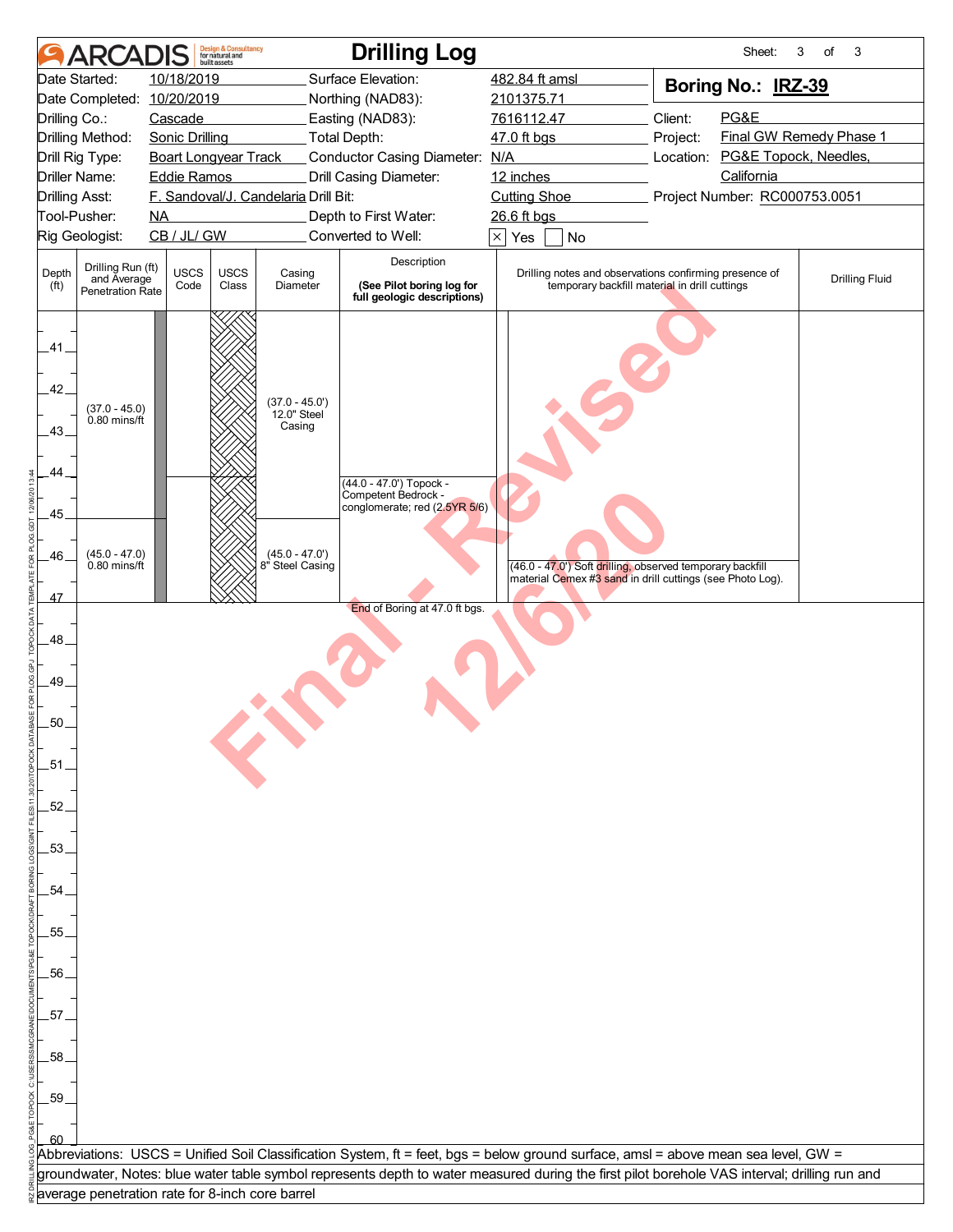|                            |                                                      | <b>DIS</b>                  | <b>Design &amp; Consultancy</b><br>for natural and<br>built assets |                                      | <b>Drilling Log</b>                                                                                                                           |                                      |                                                                                                                        |                                                                                                                                  | Sheet:     | 3<br>of<br>3                  |  |
|----------------------------|------------------------------------------------------|-----------------------------|--------------------------------------------------------------------|--------------------------------------|-----------------------------------------------------------------------------------------------------------------------------------------------|--------------------------------------|------------------------------------------------------------------------------------------------------------------------|----------------------------------------------------------------------------------------------------------------------------------|------------|-------------------------------|--|
|                            | Date Started:                                        | 10/18/2019                  |                                                                    |                                      | Surface Elevation:                                                                                                                            | 482.84 ft amsl<br>Boring No.: IRZ-39 |                                                                                                                        |                                                                                                                                  |            |                               |  |
|                            | Date Completed: 10/20/2019                           |                             |                                                                    |                                      | Northing (NAD83):                                                                                                                             | 2101375.71                           |                                                                                                                        |                                                                                                                                  |            |                               |  |
| Drilling Co.:              |                                                      | Cascade                     |                                                                    |                                      | Easting (NAD83):                                                                                                                              | Client:<br>PG&E<br>7616112.47        |                                                                                                                        |                                                                                                                                  |            |                               |  |
|                            | Drilling Method:                                     | <b>Sonic Drilling</b>       |                                                                    |                                      | Total Depth:                                                                                                                                  | 47.0 ft bgs                          |                                                                                                                        | Project:                                                                                                                         |            | Final GW Remedy Phase 1       |  |
|                            | Drill Rig Type:                                      | <b>Boart Longyear Track</b> |                                                                    |                                      | Conductor Casing Diameter: N/A                                                                                                                | PG&E Topock, Needles,<br>Location:   |                                                                                                                        |                                                                                                                                  |            |                               |  |
|                            | Driller Name:                                        | <b>Eddie Ramos</b>          |                                                                    | F. Sandoval/J. Candelaria Drill Bit: | Drill Casing Diameter:                                                                                                                        | 12 inches                            |                                                                                                                        |                                                                                                                                  | California |                               |  |
| <b>Drilling Asst:</b>      | Tool-Pusher:                                         | $\overline{\text{NA}}$      |                                                                    |                                      | Depth to First Water:                                                                                                                         | <b>Cutting Shoe</b><br>26.6 ft bgs   |                                                                                                                        |                                                                                                                                  |            | Project Number: RC000753.0051 |  |
|                            | Rig Geologist:                                       | CB / JL/ GW                 |                                                                    |                                      | Converted to Well:                                                                                                                            | $\times$ Yes                         | No                                                                                                                     |                                                                                                                                  |            |                               |  |
|                            |                                                      |                             |                                                                    |                                      |                                                                                                                                               |                                      |                                                                                                                        |                                                                                                                                  |            |                               |  |
| Depth<br>(f <sup>t</sup> ) | Drilling Run (ft)<br>and Average<br>Penetration Rate | <b>USCS</b><br>Code         | <b>USCS</b><br>Class                                               | Casing<br>Diameter                   | Description<br>(See Pilot boring log for<br>full geologic descriptions)                                                                       |                                      |                                                                                                                        | Drilling notes and observations confirming presence of<br><b>Drilling Fluid</b><br>temporary backfill material in drill cuttings |            |                               |  |
| 41.<br>42.                 | $(37.0 - 45.0)$                                      |                             |                                                                    | $(37.0 - 45.0')$<br>12.0" Steel      |                                                                                                                                               |                                      |                                                                                                                        |                                                                                                                                  |            |                               |  |
| 43                         | 0.80 mins/ft                                         |                             |                                                                    | Casing                               |                                                                                                                                               |                                      |                                                                                                                        |                                                                                                                                  |            |                               |  |
| 44.<br>45                  |                                                      |                             |                                                                    |                                      | (44.0 - 47.0') Topock -<br>Competent Bedrock -<br>conglomerate; red (2.5YR 5/6)                                                               |                                      |                                                                                                                        |                                                                                                                                  |            |                               |  |
| 46                         | $(45.0 - 47.0)$<br>$0.80$ mins/ft                    |                             |                                                                    | $(45.0 - 47.0')$<br>8" Steel Casing  |                                                                                                                                               |                                      | (46.0 - 47.0') Soft drilling, observed temporary backfill<br>material Cemex #3 sand in drill cuttings (see Photo Log). |                                                                                                                                  |            |                               |  |
| 47                         |                                                      |                             |                                                                    |                                      | End of Boring at 47.0 ft bgs.                                                                                                                 |                                      |                                                                                                                        |                                                                                                                                  |            |                               |  |
|                            |                                                      |                             |                                                                    |                                      |                                                                                                                                               |                                      |                                                                                                                        |                                                                                                                                  |            |                               |  |
| 48                         |                                                      |                             |                                                                    |                                      |                                                                                                                                               |                                      |                                                                                                                        |                                                                                                                                  |            |                               |  |
|                            |                                                      |                             |                                                                    |                                      |                                                                                                                                               |                                      |                                                                                                                        |                                                                                                                                  |            |                               |  |
| .49.                       |                                                      |                             |                                                                    |                                      |                                                                                                                                               |                                      |                                                                                                                        |                                                                                                                                  |            |                               |  |
|                            |                                                      |                             |                                                                    |                                      |                                                                                                                                               |                                      |                                                                                                                        |                                                                                                                                  |            |                               |  |
| 50                         |                                                      |                             |                                                                    |                                      |                                                                                                                                               |                                      |                                                                                                                        |                                                                                                                                  |            |                               |  |
| -51                        |                                                      |                             |                                                                    |                                      |                                                                                                                                               |                                      |                                                                                                                        |                                                                                                                                  |            |                               |  |
|                            |                                                      |                             |                                                                    |                                      |                                                                                                                                               |                                      |                                                                                                                        |                                                                                                                                  |            |                               |  |
| 52                         |                                                      |                             |                                                                    |                                      |                                                                                                                                               |                                      |                                                                                                                        |                                                                                                                                  |            |                               |  |
|                            |                                                      |                             |                                                                    |                                      |                                                                                                                                               |                                      |                                                                                                                        |                                                                                                                                  |            |                               |  |
| .53.                       |                                                      |                             |                                                                    |                                      |                                                                                                                                               |                                      |                                                                                                                        |                                                                                                                                  |            |                               |  |
|                            |                                                      |                             |                                                                    |                                      |                                                                                                                                               |                                      |                                                                                                                        |                                                                                                                                  |            |                               |  |
| 54                         |                                                      |                             |                                                                    |                                      |                                                                                                                                               |                                      |                                                                                                                        |                                                                                                                                  |            |                               |  |
|                            |                                                      |                             |                                                                    |                                      |                                                                                                                                               |                                      |                                                                                                                        |                                                                                                                                  |            |                               |  |
| 55                         |                                                      |                             |                                                                    |                                      |                                                                                                                                               |                                      |                                                                                                                        |                                                                                                                                  |            |                               |  |
| 56                         |                                                      |                             |                                                                    |                                      |                                                                                                                                               |                                      |                                                                                                                        |                                                                                                                                  |            |                               |  |
|                            |                                                      |                             |                                                                    |                                      |                                                                                                                                               |                                      |                                                                                                                        |                                                                                                                                  |            |                               |  |
| 57                         |                                                      |                             |                                                                    |                                      |                                                                                                                                               |                                      |                                                                                                                        |                                                                                                                                  |            |                               |  |
|                            |                                                      |                             |                                                                    |                                      |                                                                                                                                               |                                      |                                                                                                                        |                                                                                                                                  |            |                               |  |
| 58                         |                                                      |                             |                                                                    |                                      |                                                                                                                                               |                                      |                                                                                                                        |                                                                                                                                  |            |                               |  |
|                            |                                                      |                             |                                                                    |                                      |                                                                                                                                               |                                      |                                                                                                                        |                                                                                                                                  |            |                               |  |
| .59                        |                                                      |                             |                                                                    |                                      |                                                                                                                                               |                                      |                                                                                                                        |                                                                                                                                  |            |                               |  |
|                            |                                                      |                             |                                                                    |                                      |                                                                                                                                               |                                      |                                                                                                                        |                                                                                                                                  |            |                               |  |
| 60                         |                                                      |                             |                                                                    |                                      | Abbreviations: USCS = Unified Soil Classification System, ft = feet, bgs = below ground surface, amsl = above mean sea level, GW =            |                                      |                                                                                                                        |                                                                                                                                  |            |                               |  |
|                            |                                                      |                             |                                                                    |                                      | groundwater, Notes: blue water table symbol represents depth to water measured during the first pilot borehole VAS interval; drilling run and |                                      |                                                                                                                        |                                                                                                                                  |            |                               |  |
|                            | average penetration rate for 8-inch core barrel      |                             |                                                                    |                                      |                                                                                                                                               |                                      |                                                                                                                        |                                                                                                                                  |            |                               |  |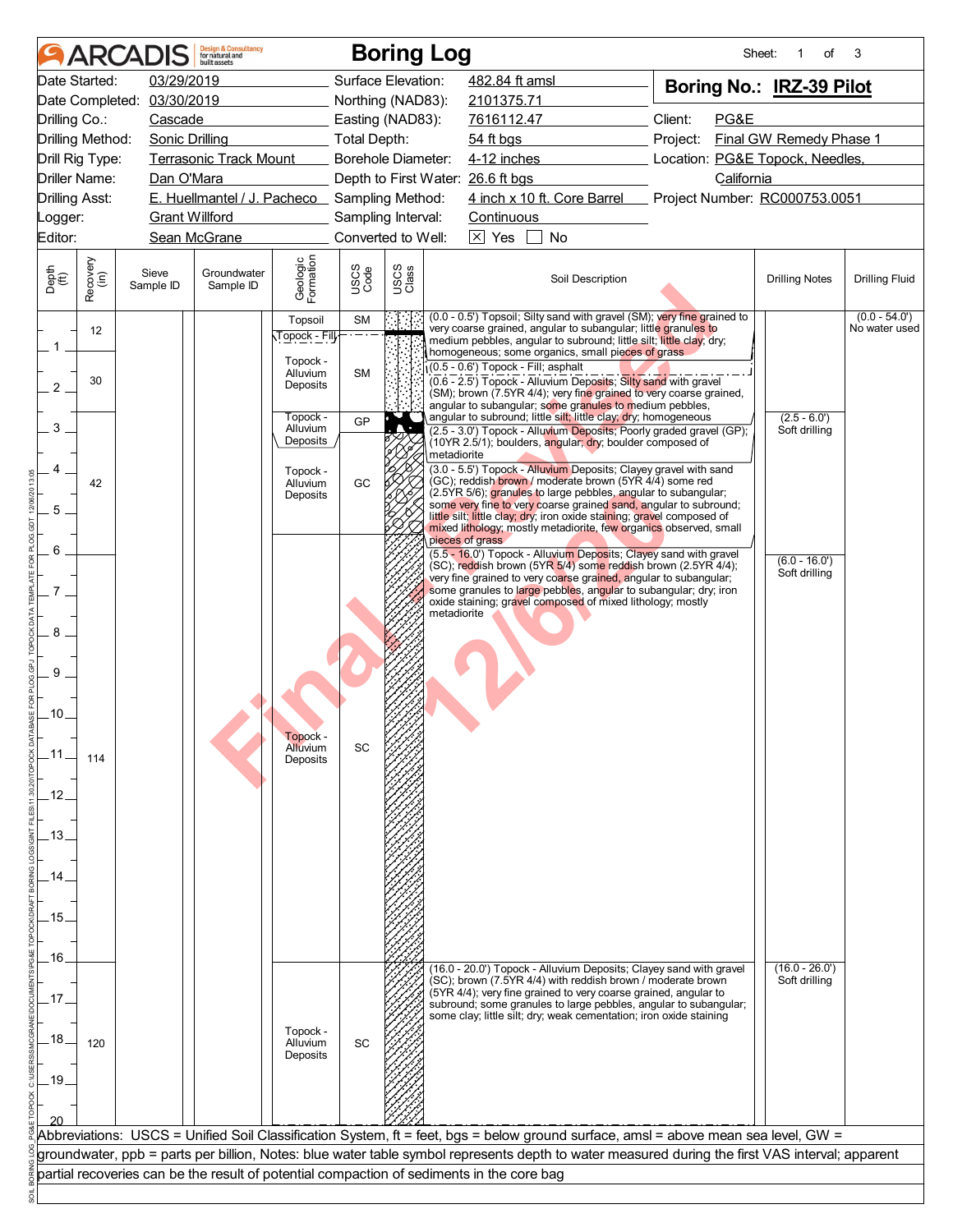| Date Started:               |                  |                            |                                              |                                  |                    |               | <b>Boring Log</b>                                                                                                                                                                                                                                                                                                                                          |                                 |                                 | 3                                |
|-----------------------------|------------------|----------------------------|----------------------------------------------|----------------------------------|--------------------|---------------|------------------------------------------------------------------------------------------------------------------------------------------------------------------------------------------------------------------------------------------------------------------------------------------------------------------------------------------------------------|---------------------------------|---------------------------------|----------------------------------|
|                             |                  | 03/29/2019                 |                                              |                                  | Surface Elevation: |               | 482.84 ft amsl                                                                                                                                                                                                                                                                                                                                             | Boring No.: IRZ-39 Pilot        |                                 |                                  |
|                             |                  | Date Completed: 03/30/2019 |                                              |                                  | Northing (NAD83):  |               | 2101375.71                                                                                                                                                                                                                                                                                                                                                 |                                 |                                 |                                  |
| Drilling Co.:               |                  | Cascade                    |                                              |                                  | Easting (NAD83):   |               | 7616112.47                                                                                                                                                                                                                                                                                                                                                 | Client:<br>PG&E                 |                                 |                                  |
| Drilling Method:            |                  |                            | Sonic Drilling Total Depth:                  |                                  |                    |               | $54$ ft bgs                                                                                                                                                                                                                                                                                                                                                | Project:                        | Final GW Remedy Phase 1         |                                  |
| Drill Rig Type:             |                  |                            | <b>Terrasonic Track Mount</b>                |                                  | Borehole Diameter: |               | 4-12 inches                                                                                                                                                                                                                                                                                                                                                | Location: PG&E Topock, Needles, |                                 |                                  |
| Driller Name:               |                  | Dan O'Mara                 |                                              |                                  |                    |               | Depth to First Water: 26.6 ft bgs                                                                                                                                                                                                                                                                                                                          | California                      |                                 |                                  |
| <b>Drilling Asst:</b>       |                  |                            | E. Huellmantel / J. Pacheco Sampling Method: |                                  |                    |               | 4 inch x 10 ft. Core Barrel Project Number: RC000753.0051                                                                                                                                                                                                                                                                                                  |                                 |                                 |                                  |
| Logger:                     |                  | <b>Grant Willford</b>      |                                              |                                  | Sampling Interval: |               | Continuous                                                                                                                                                                                                                                                                                                                                                 |                                 |                                 |                                  |
| Editor:                     |                  |                            | Sean McGrane                                 |                                  | Converted to Well: |               | $\overline{\times}$ Yes<br>No                                                                                                                                                                                                                                                                                                                              |                                 |                                 |                                  |
| Depth<br>$\widetilde{f(t)}$ | Recovery<br>(in) | Sieve<br>Sample ID         | Groundwater<br>Sample ID                     | Geologic<br>Formation            | USCS<br>Code       | USCS<br>Class | Soil Description                                                                                                                                                                                                                                                                                                                                           |                                 | <b>Drilling Notes</b>           | <b>Drilling Fluid</b>            |
|                             | 12               |                            |                                              | Topsoil<br>⊺opock - Fill,∙       | SM                 |               | (0.0 - 0.5') Topsoil; Silty sand with gravel (SM); very fine grained to<br>very coarse grained, angular to subangular; little granules to<br>medium pebbles, angular to subround; little silt; little clay; dry;                                                                                                                                           |                                 |                                 | $(0.0 - 54.0')$<br>No water used |
| $\mathbf{1}$<br>2           | 30               |                            |                                              | Topock -<br>Alluvium<br>Deposits | <b>SM</b>          |               | homogeneous; some organics, small pieces of grass<br>(0.5 - 0.6') Topock - Fill; asphalt<br>(0.6 - 2.5') Topock - Alluvium Deposits; Silty sand with gravel<br>(SM); brown (7.5YR 4/4); very fine grained to very coarse grained,                                                                                                                          |                                 |                                 |                                  |
| 3                           |                  |                            |                                              | Topock -<br>Alluvium<br>Deposits | GP                 |               | angular to subangular; some granules to medium pebbles,<br>angular to subround; little silt; little clay; dry; homogeneous<br>(2.5 - 3.0') Topock - Alluvium Deposits; Poorly graded gravel (GP);<br>(10YR 2.5/1); boulders, angular; dry; boulder composed of                                                                                             |                                 | $(2.5 - 6.0')$<br>Soft drilling |                                  |
| 5                           | 42               |                            |                                              | Topock -<br>Alluvium<br>Deposits | GC                 |               | metadiorite<br>(3.0 - 5.5') Topock - Alluvium Deposits; Clayey gravel with sand<br>(GC); reddish brown / moderate brown (5YR 4/4) some red<br>(2.5YR 5/6); granules to large pebbles, angular to subangular;<br>some very fine to very coarse grained sand, angular to subround;<br>little silt; little clay; dry; iron oxide staining; gravel composed of |                                 |                                 |                                  |
| 6                           |                  |                            |                                              |                                  |                    |               | mixed lithology; mostly metadiorite, few organics observed, small<br>pieces of grass<br>(5.5 - 16.0') Topock - Alluvium Deposits; Clayey sand with gravel<br>(SC); reddish brown (5YR 5/4) some reddish brown (2.5YR 4/4);<br>very fine grained to very coarse grained, angular to subangular;                                                             |                                 | $(6.0 - 16.0)$<br>Soft drilling |                                  |
| $7$ .<br>8                  |                  |                            |                                              |                                  |                    |               | some granules to large pebbles, angular to subangular; dry; iron<br>oxide staining; gravel composed of mixed lithology; mostly<br>metadiorite                                                                                                                                                                                                              |                                 |                                 |                                  |
| 9                           |                  |                            |                                              |                                  |                    |               |                                                                                                                                                                                                                                                                                                                                                            |                                 |                                 |                                  |
| .10.                        |                  |                            |                                              | Topock -<br>Alluvium             | SC                 |               |                                                                                                                                                                                                                                                                                                                                                            |                                 |                                 |                                  |
| .11<br>.12.                 | 114              |                            |                                              | Deposits                         |                    |               |                                                                                                                                                                                                                                                                                                                                                            |                                 |                                 |                                  |
| .13 <sub>1</sub>            |                  |                            |                                              |                                  |                    |               |                                                                                                                                                                                                                                                                                                                                                            |                                 |                                 |                                  |
| 14                          |                  |                            |                                              |                                  |                    |               |                                                                                                                                                                                                                                                                                                                                                            |                                 |                                 |                                  |
| .15.                        |                  |                            |                                              |                                  |                    |               |                                                                                                                                                                                                                                                                                                                                                            |                                 |                                 |                                  |
| .16.                        |                  |                            |                                              |                                  |                    |               | (16.0 - 20.0') Topock - Alluvium Deposits; Clayey sand with gravel                                                                                                                                                                                                                                                                                         |                                 | $(16.0 - 26.0')$                |                                  |
| .17                         |                  |                            |                                              |                                  |                    |               | (SC); brown (7.5YR 4/4) with reddish brown / moderate brown<br>$(SYR 4/4)$ ; very fine grained to very coarse grained, angular to<br>subround; some granules to large pebbles, angular to subangular;                                                                                                                                                      |                                 | Soft drilling                   |                                  |
| .18.<br>$-19$               | 120              |                            |                                              | Topock -<br>Alluvium<br>Deposits | SC                 |               | some clay; little silt; dry; weak cementation; iron oxide staining                                                                                                                                                                                                                                                                                         |                                 |                                 |                                  |
|                             |                  |                            |                                              |                                  |                    |               |                                                                                                                                                                                                                                                                                                                                                            |                                 |                                 |                                  |
|                             |                  |                            |                                              |                                  |                    |               | Abbreviations:  USCS = Unified Soil Classification System, ft = feet, bgs = below ground surface, amsl = above mean sea level, GW =                                                                                                                                                                                                                        |                                 |                                 |                                  |
|                             |                  |                            |                                              |                                  |                    |               | groundwater, ppb = parts per billion, Notes: blue water table symbol represents depth to water measured during the first VAS interval; apparent                                                                                                                                                                                                            |                                 |                                 |                                  |
|                             |                  |                            |                                              |                                  |                    |               | partial recoveries can be the result of potential compaction of sediments in the core bag                                                                                                                                                                                                                                                                  |                                 |                                 |                                  |
|                             |                  |                            |                                              |                                  |                    |               |                                                                                                                                                                                                                                                                                                                                                            |                                 |                                 |                                  |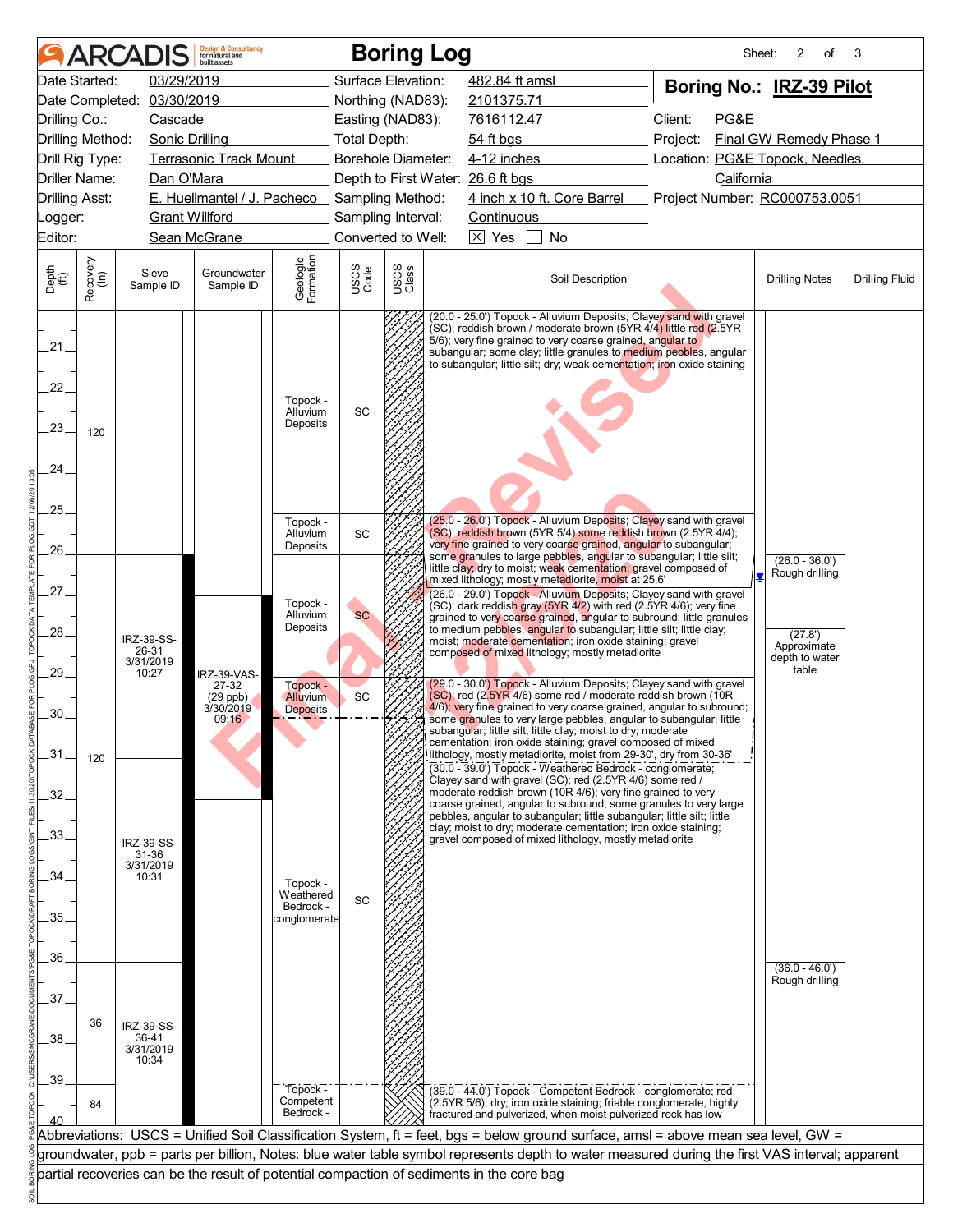|                                         |                  | <b>ARCADIS</b>             | <b>Design &amp; Consultancy</b><br>for natural and<br>huilt assets |                             |                           |               | <b>Boring Log</b>                                                                                                                                                                                                                                                                                                                                   | Sheet:                                        | 2<br>of                 | 3                     |
|-----------------------------------------|------------------|----------------------------|--------------------------------------------------------------------|-----------------------------|---------------------------|---------------|-----------------------------------------------------------------------------------------------------------------------------------------------------------------------------------------------------------------------------------------------------------------------------------------------------------------------------------------------------|-----------------------------------------------|-------------------------|-----------------------|
| Date Started:                           |                  | 03/29/2019                 |                                                                    |                             | Surface Elevation:        |               | 482.84 ft amsl                                                                                                                                                                                                                                                                                                                                      | Boring No.: IRZ-39 Pilot                      |                         |                       |
|                                         |                  | Date Completed: 03/30/2019 |                                                                    |                             | Northing (NAD83):         |               | 2101375.71                                                                                                                                                                                                                                                                                                                                          |                                               |                         |                       |
| Drilling Co.:                           |                  | Cascade                    |                                                                    |                             | Easting (NAD83):          |               | 7616112.47                                                                                                                                                                                                                                                                                                                                          | Client:<br>PG&E                               |                         |                       |
| Drilling Method:                        |                  | <b>Sonic Drilling</b>      |                                                                    |                             | <b>Total Depth:</b>       |               | 54 ft bgs                                                                                                                                                                                                                                                                                                                                           | Project:                                      | Final GW Remedy Phase 1 |                       |
| Drill Rig Type:<br><b>Driller Name:</b> |                  |                            | <b>Terrasonic Track Mount</b>                                      |                             | <b>Borehole Diameter:</b> |               | $4-12$ inches                                                                                                                                                                                                                                                                                                                                       | Location: PG&E Topock, Needles,<br>California |                         |                       |
| <b>Drilling Asst:</b>                   |                  | Dan O'Mara                 | E. Huellmantel / J. Pacheco Sampling Method:                       |                             |                           |               | Depth to First Water: 26.6 ft bgs<br>4 inch x 10 ft. Core Barrel Project Number: RC000753.0051                                                                                                                                                                                                                                                      |                                               |                         |                       |
| Logger:                                 |                  | <b>Grant Willford</b>      |                                                                    |                             | Sampling Interval:        |               | Continuous                                                                                                                                                                                                                                                                                                                                          |                                               |                         |                       |
| Editor:                                 |                  |                            | Sean McGrane                                                       |                             | Converted to Well:        |               | $\boxed{\times}$ Yes<br>No                                                                                                                                                                                                                                                                                                                          |                                               |                         |                       |
|                                         |                  |                            |                                                                    |                             |                           |               |                                                                                                                                                                                                                                                                                                                                                     |                                               |                         |                       |
| Depth<br>(ft)                           | Recovery<br>(in) | Sieve<br>Sample ID         | Groundwater<br>Sample ID                                           | Geologic<br>Formation       | USCS<br>Code              | USCS<br>Class | Soil Description                                                                                                                                                                                                                                                                                                                                    |                                               | <b>Drilling Notes</b>   | <b>Drilling Fluid</b> |
| $21 -$<br>22.<br>23.                    | 120              |                            |                                                                    |                             | SC                        |               | (20.0 - 25.0') Topock - Alluvium Deposits; Clayey sand with gravel<br>(SC); reddish brown / moderate brown (5YR 4/4) little red (2.5YR<br>5/6); very fine grained to very coarse grained, angular to<br>subangular; some clay; little granules to medium pebbles, angular<br>to subangular; little silt; dry; weak cementation; iron oxide staining |                                               |                         |                       |
| 24.                                     |                  |                            |                                                                    |                             |                           |               |                                                                                                                                                                                                                                                                                                                                                     |                                               |                         |                       |
| 25.                                     |                  |                            |                                                                    |                             |                           |               |                                                                                                                                                                                                                                                                                                                                                     |                                               |                         |                       |
|                                         |                  |                            |                                                                    | Topock -<br>Alluvium        | SC                        |               | (25.0 - 26.0') Topock - Alluvium Deposits; Clayey sand with gravel<br>(SC); reddish brown (5YR 5/4) some reddish brown (2.5YR 4/4);                                                                                                                                                                                                                 |                                               |                         |                       |
| 26.                                     |                  |                            |                                                                    | Deposits                    |                           |               | very fine grained to very coarse grained, angular to subangular;<br>some granules to large pebbles, angular to subangular; little silt;                                                                                                                                                                                                             |                                               | $(26.0 - 36.0')$        |                       |
|                                         |                  |                            |                                                                    |                             |                           |               | little clay; dry to moist; weak cementation; gravel composed of<br>mixed lithology; mostly metadiorite, moist at 25.6'                                                                                                                                                                                                                              |                                               | Rough drilling          |                       |
| 27.                                     |                  |                            |                                                                    | Topock -                    |                           |               | (26.0 - 29.0') Topock - Alluvium Deposits; Clayey sand with gravel<br>$\overline{\rm (SC)}$ ; dark reddish gray (5YR 4/2) with red (2.5YR 4/6); very fine                                                                                                                                                                                           |                                               |                         |                       |
|                                         |                  |                            |                                                                    | Alluvium                    | <b>SC</b>                 |               | grained to very coarse grained, angular to subround; little granules                                                                                                                                                                                                                                                                                |                                               |                         |                       |
| 28.                                     |                  | IRZ-39-SS-                 |                                                                    | Deposits                    |                           |               | to medium pebbles, angular to subangular; little silt; little clay;<br>moist; moderate cementation; iron oxide staining; gravel                                                                                                                                                                                                                     |                                               | (27.8')<br>Approximate  |                       |
|                                         |                  | 26-31<br>3/31/2019         |                                                                    |                             |                           |               | composed of mixed lithology; mostly metadiorite                                                                                                                                                                                                                                                                                                     |                                               | depth to water          |                       |
| .29.                                    |                  | 10:27                      | IRZ-39-VAS-<br>27-32                                               | Topock -                    |                           |               | (29.0 - 30.0') Topock - Alluvium Deposits; Clayey sand with gravel                                                                                                                                                                                                                                                                                  |                                               | table                   |                       |
|                                         |                  |                            | $(29$ ppb)<br>3/30/2019                                            | Alluvium<br><b>Deposits</b> | SC                        |               | (SC); red (2.5YR 4/6) some red / moderate reddish brown (10R<br>4/6); very fine grained to very coarse grained, angular to subround;                                                                                                                                                                                                                |                                               |                         |                       |
| 30.                                     |                  |                            | 09:16                                                              |                             |                           |               | some granules to very large pebbles, angular to subangular; little<br>subangular; little silt; little clay; moist to dry; moderate                                                                                                                                                                                                                  |                                               |                         |                       |
| $-31$                                   |                  |                            |                                                                    |                             |                           |               | cementation; iron oxide staining; gravel composed of mixed<br>lithology, mostly metadiorite, moist from 29-30', dry from 30-36'                                                                                                                                                                                                                     |                                               |                         |                       |
|                                         | 120              |                            |                                                                    |                             |                           |               | (30.0 - 39.0') Topock - Weathered Bedrock - conglomerate;                                                                                                                                                                                                                                                                                           |                                               |                         |                       |
| 32.                                     |                  |                            |                                                                    |                             |                           |               | Clayey sand with gravel (SC); red (2.5YR 4/6) some red /<br>moderate reddish brown (10R 4/6); very fine grained to very                                                                                                                                                                                                                             |                                               |                         |                       |
|                                         |                  |                            |                                                                    |                             |                           |               | coarse grained, angular to subround; some granules to very large<br>pebbles, angular to subangular; little subangular; little silt; little                                                                                                                                                                                                          |                                               |                         |                       |
| $.33 -$                                 |                  |                            |                                                                    |                             |                           |               | clay; moist to dry; moderate cementation; iron oxide staining;<br>gravel composed of mixed lithology, mostly metadiorite                                                                                                                                                                                                                            |                                               |                         |                       |
|                                         |                  | IRZ-39-SS-<br>31-36        |                                                                    |                             |                           |               |                                                                                                                                                                                                                                                                                                                                                     |                                               |                         |                       |
| 34.                                     |                  | 3/31/2019<br>10:31         |                                                                    | Topock -                    |                           |               |                                                                                                                                                                                                                                                                                                                                                     |                                               |                         |                       |
|                                         |                  |                            |                                                                    | Weathered<br>Bedrock -      | SC                        |               |                                                                                                                                                                                                                                                                                                                                                     |                                               |                         |                       |
| 35.                                     |                  |                            |                                                                    | conglomerate                |                           |               |                                                                                                                                                                                                                                                                                                                                                     |                                               |                         |                       |
|                                         |                  |                            |                                                                    |                             |                           |               |                                                                                                                                                                                                                                                                                                                                                     |                                               |                         |                       |
| 36.                                     |                  |                            |                                                                    |                             |                           |               |                                                                                                                                                                                                                                                                                                                                                     |                                               | $(36.0 - 46.0')$        |                       |
|                                         |                  |                            |                                                                    |                             |                           |               |                                                                                                                                                                                                                                                                                                                                                     |                                               | Rough drilling          |                       |
| 37.                                     |                  |                            |                                                                    |                             |                           |               |                                                                                                                                                                                                                                                                                                                                                     |                                               |                         |                       |
|                                         | 36               | IRZ-39-SS-                 |                                                                    |                             |                           |               |                                                                                                                                                                                                                                                                                                                                                     |                                               |                         |                       |
| 38.                                     |                  | 36-41<br>3/31/2019         |                                                                    |                             |                           |               |                                                                                                                                                                                                                                                                                                                                                     |                                               |                         |                       |
|                                         |                  | 10:34                      |                                                                    |                             |                           |               |                                                                                                                                                                                                                                                                                                                                                     |                                               |                         |                       |
| 39                                      |                  |                            |                                                                    | Topock-                     |                           |               | (39.0 - 44.0') Topock - Competent Bedrock - conglomerate; red                                                                                                                                                                                                                                                                                       |                                               |                         |                       |
| 40                                      | 84               |                            |                                                                    | Competent<br>Bedrock -      |                           |               | (2.5YR 5/6); dry; iron oxide staining; friable conglomerate, highly<br>fractured and pulverized, when moist pulverized rock has low                                                                                                                                                                                                                 |                                               |                         |                       |
|                                         |                  |                            |                                                                    |                             |                           |               | Abbreviations: USCS = Unified Soil Classification System, ft = feet, bgs = below ground surface, amsl = above mean sea level, GW =                                                                                                                                                                                                                  |                                               |                         |                       |
|                                         |                  |                            |                                                                    |                             |                           |               | groundwater, ppb = parts per billion, Notes: blue water table symbol represents depth to water measured during the first VAS interval; apparent                                                                                                                                                                                                     |                                               |                         |                       |
|                                         |                  |                            |                                                                    |                             |                           |               | partial recoveries can be the result of potential compaction of sediments in the core bag                                                                                                                                                                                                                                                           |                                               |                         |                       |
|                                         |                  |                            |                                                                    |                             |                           |               |                                                                                                                                                                                                                                                                                                                                                     |                                               |                         |                       |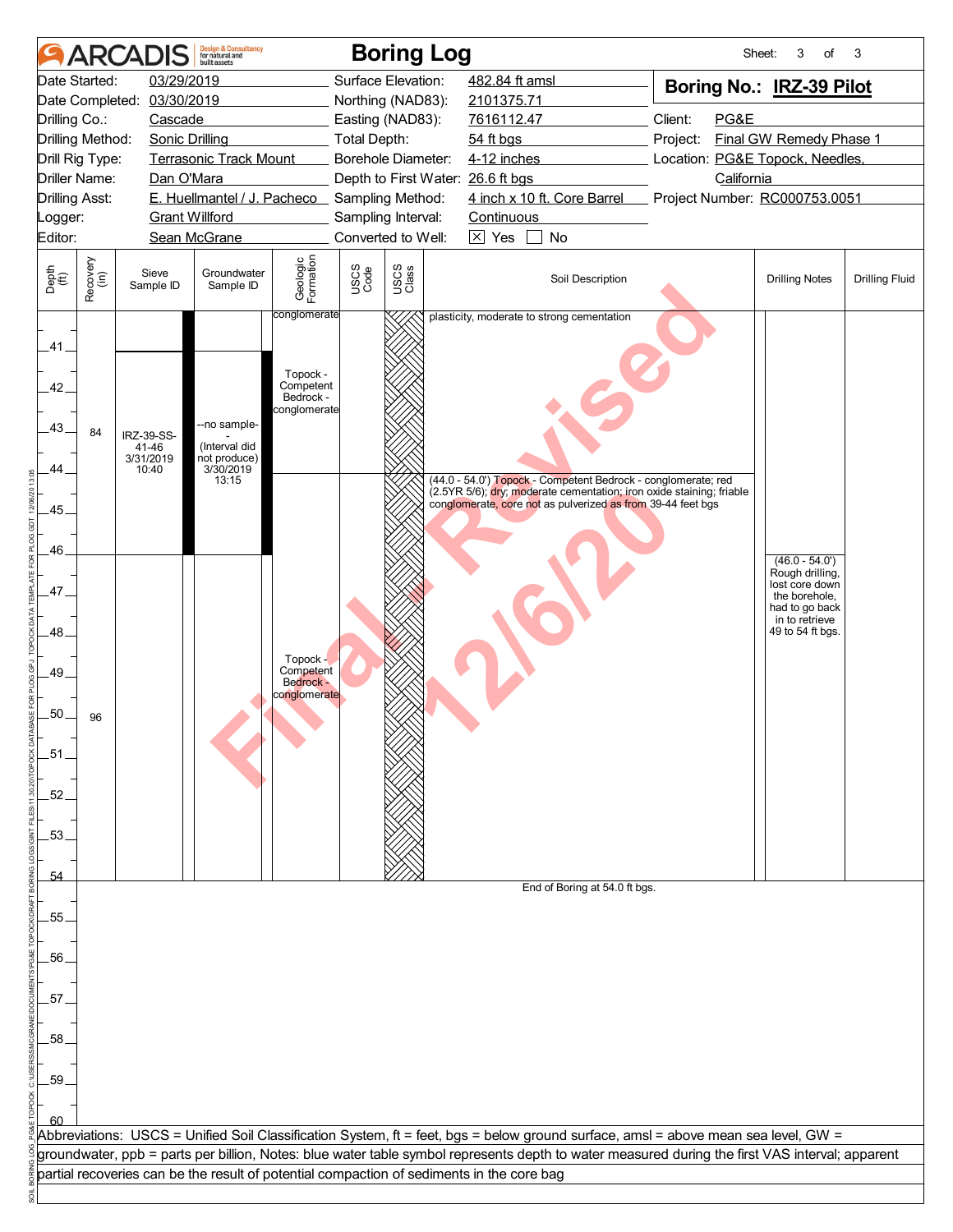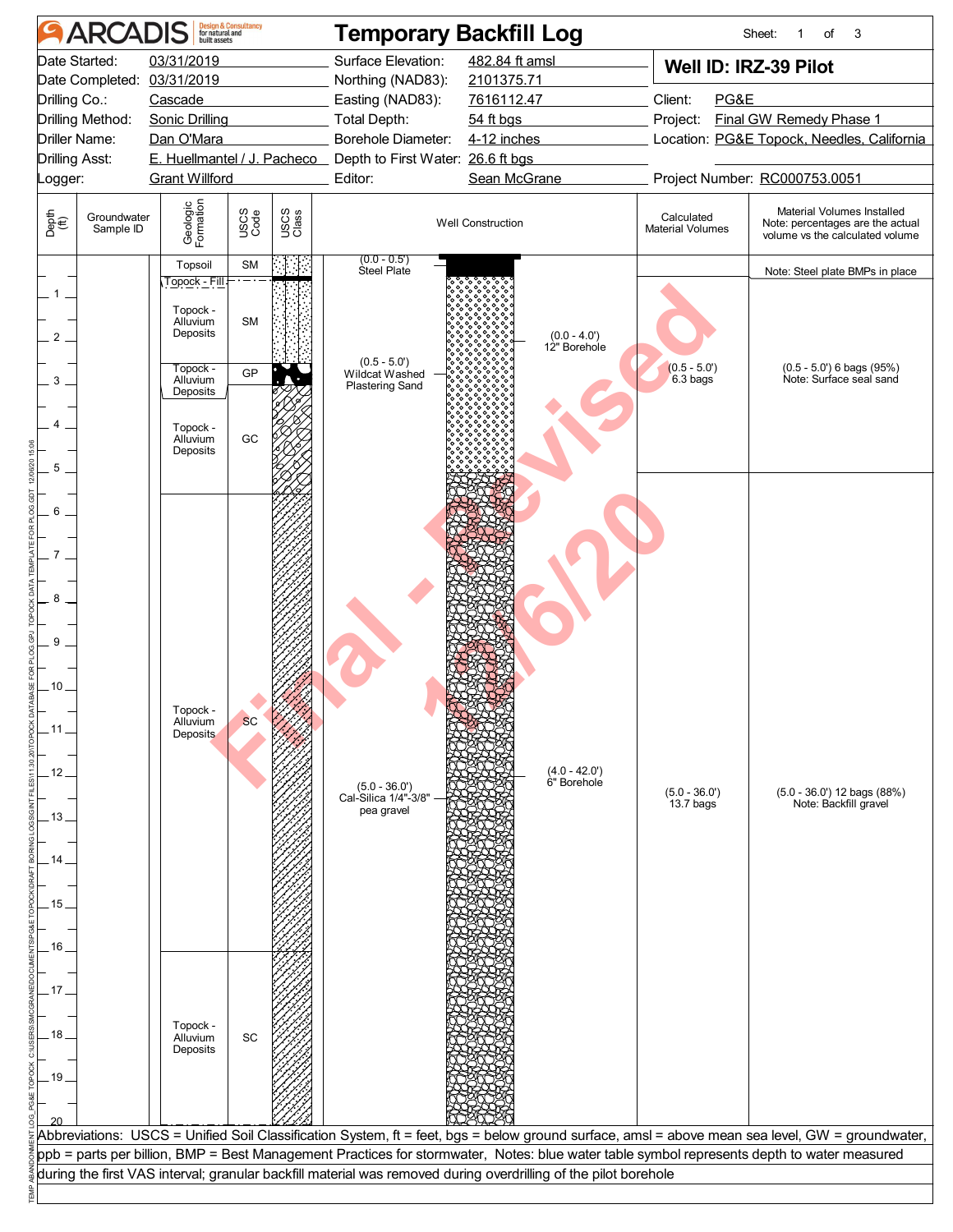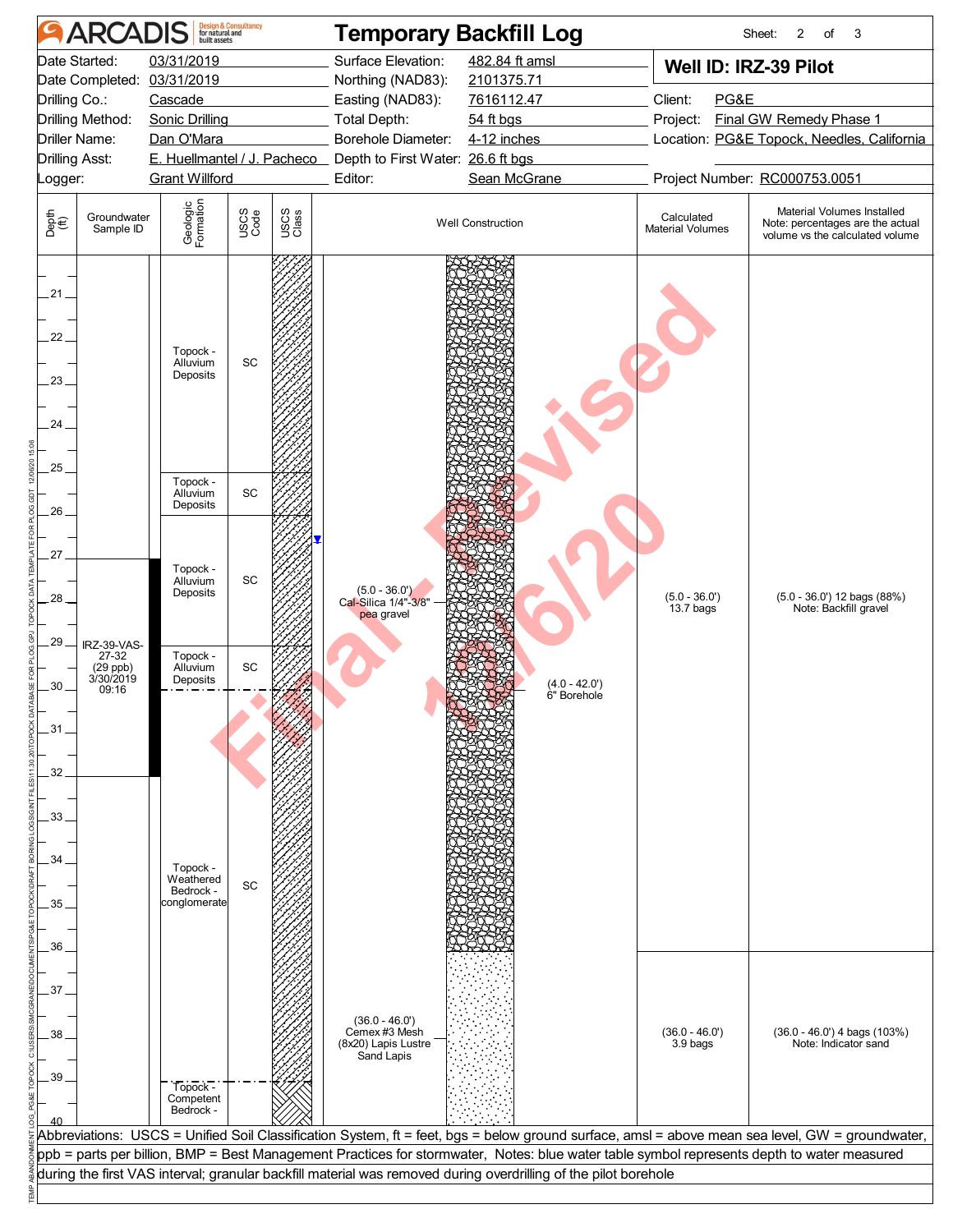